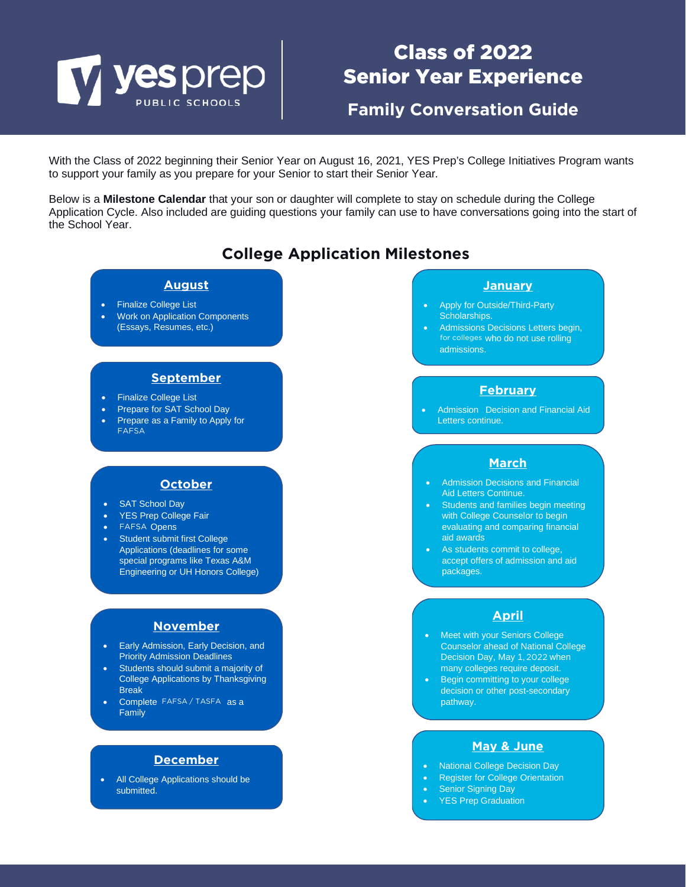# V yes prep

# Class of 2022 Senior Year Experience

**Family Conversation Guide**

With the Class of 2022 beginning their Senior Year on August 16, 2021, YES Prep's College Initiatives Program wants to support your family as you prepare for your Senior to start their Senior Year.

Below is a **Milestone Calendar** that your son or daughter will complete to stay on schedule during the College Application Cycle. Also included are guiding questions your family can use to have conversations going into the start of the School Year.

### **College Application Milestones**

#### **August**

- Finalize College List
- Work on Application Components (Essays, Resumes, etc.)

#### **September**

- Finalize College List
- Prepare for SAT School Day
- Prepare as a Family to Apply for FAFSA

#### **October**

- SAT School Day
- YES Prep College Fair
- FAFSA Opens
- Student submit first College Applications (deadlines for some special programs like Texas A&M Engineering or UH Honors College)

#### **November**

- Early Admission, Early Decision, and Priority Admission Deadlines
- Students should submit a majority of College Applications by Thanksgiving Break
- Complete FAFSA / TASFA as a Family

#### **December**

All College Applications should be submitted.

#### **January**

- Apply for Outside/Third-Party Scholarships.
- Admissions Decisions Letters begin, for colleges who do not use rolling admissions.

#### **February**

Admission Decision and Financial Aid Letters continue.

#### **March**

- Admission Decisions and Financial Aid Letters Continue.
- **Students and families begin meeting** with College Counselor to begin evaluating and comparing financial aid awards
- As students commit to college, accept offers of admission and aid packages.

#### **April**

- **Meet with your Seniors College** Counselor ahead of National College Decision Day, May 1, 2022 when many colleges require deposit.
- Begin committing to your college decision or other post-secondary pathway.

#### **May & June**

- National College Decision Day
- Register for College Orientation
- **Senior Signing Day**
- YES Prep Graduation